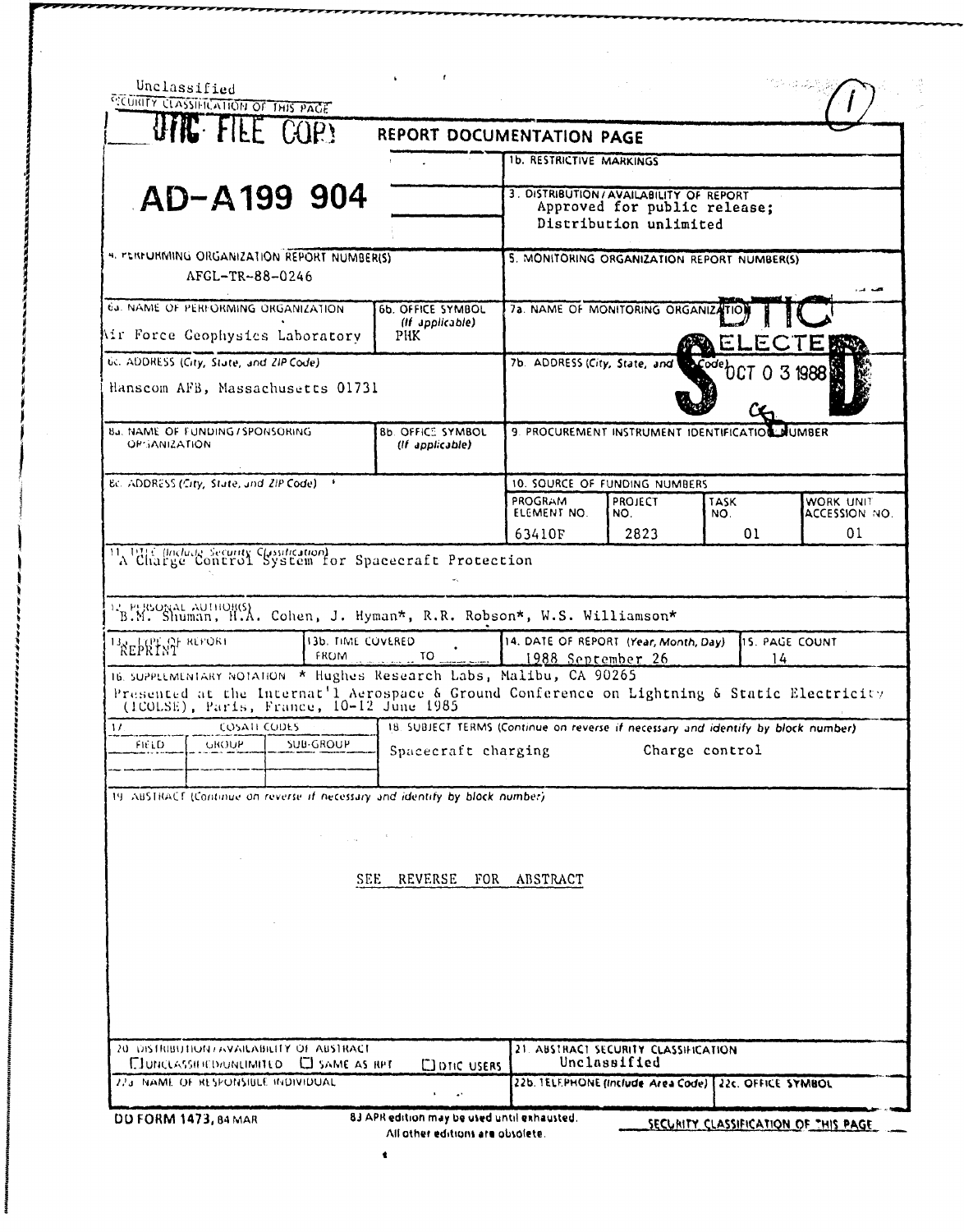| <b>PECURITY CLASSIFICATION OF THIS PAGE</b>                                                                                                                                                                                                                                                                                                                                                                               |                                                                                                          |                                                                                                  |                                                                       |                    |                            |
|---------------------------------------------------------------------------------------------------------------------------------------------------------------------------------------------------------------------------------------------------------------------------------------------------------------------------------------------------------------------------------------------------------------------------|----------------------------------------------------------------------------------------------------------|--------------------------------------------------------------------------------------------------|-----------------------------------------------------------------------|--------------------|----------------------------|
| <b>UTC FILE COPY</b>                                                                                                                                                                                                                                                                                                                                                                                                      | REPORT DOCUMENTATION PAGE                                                                                |                                                                                                  |                                                                       |                    |                            |
|                                                                                                                                                                                                                                                                                                                                                                                                                           |                                                                                                          | 1b. RESTRICTIVE MARKINGS                                                                         |                                                                       |                    |                            |
| AD-A199 904                                                                                                                                                                                                                                                                                                                                                                                                               |                                                                                                          | 3. DISTRIBUTION/AVAILABILITY OF REPORT<br>Approved for public release;<br>Distribution unlimited |                                                                       |                    |                            |
| 4. PERFURMING ORGANIZATION REPORT NUMBERIS)<br>AFGL-TR-88-0246                                                                                                                                                                                                                                                                                                                                                            |                                                                                                          | 5. MONITORING ORGANIZATION REPORT NUMBER(S)                                                      |                                                                       |                    |                            |
| 6J. NAME OF PERFORMING ORGANIZATION<br>Mir Force Geophysics Laboratory                                                                                                                                                                                                                                                                                                                                                    | 6b. OFFICE SYMBOL<br>(If applicable)<br>PHK.                                                             | 7a. NAME OF MONITORING ORGANIZATIO<br><b>ELECTER</b>                                             |                                                                       |                    |                            |
| 6c. ADDRESS (City, State, and ZIP Code).<br>Hanscom AFB, Massachusetts 01731                                                                                                                                                                                                                                                                                                                                              |                                                                                                          | 7b. ADDRESS (City, State, and Code) CT 0 3 1988                                                  |                                                                       |                    |                            |
| <b>84. NAME OF FUNDING / SPONSORING</b><br><b>OPSANIZATION</b>                                                                                                                                                                                                                                                                                                                                                            | <b>8b. OFFICE SYMBOL</b><br>(If applicable)                                                              | 9. PROCUREMENT INSTRUMENT IDENTIFICATION UMBER                                                   |                                                                       |                    |                            |
| Bc. ADDRESS (City, State, and ZIP Code) 14                                                                                                                                                                                                                                                                                                                                                                                |                                                                                                          | 10. SOURCE OF FUNDING NUMBERS                                                                    |                                                                       |                    |                            |
|                                                                                                                                                                                                                                                                                                                                                                                                                           |                                                                                                          | PROGRAM<br>ELEMENT NO.                                                                           | <b>PROJECT</b><br>NO.                                                 | <b>TASK</b><br>NO. | WORK UNIT<br>ACCESSION NO. |
| <sup>11</sup> Unit Unclude Security Classification)<br>A Charge Control System for Spacecraft Protection                                                                                                                                                                                                                                                                                                                  |                                                                                                          | 63410F                                                                                           | 2823                                                                  | 0 <sub>1</sub>     | 01                         |
|                                                                                                                                                                                                                                                                                                                                                                                                                           |                                                                                                          |                                                                                                  |                                                                       |                    |                            |
| 13b. TIME COVERED                                                                                                                                                                                                                                                                                                                                                                                                         |                                                                                                          | 14. DATE OF REPORT (Year, Month, Day)<br>1988 September 26                                       |                                                                       | 14                 | <b>15. PAGE COUNT</b>      |
| (ICOLSE), Paris, France, 10-12 June 1985<br>COSATI CODES<br><b>SUB-GROUP</b><br>FIELD<br><b>UROUP</b>                                                                                                                                                                                                                                                                                                                     | 18. SUBJECT TERMS (Continue on reverse if necessary and identify by block number)<br>Spacecraft charging |                                                                                                  | Charge control                                                        |                    |                            |
|                                                                                                                                                                                                                                                                                                                                                                                                                           |                                                                                                          |                                                                                                  |                                                                       |                    |                            |
| Service Control of Control                                                                                                                                                                                                                                                                                                                                                                                                |                                                                                                          |                                                                                                  |                                                                       |                    |                            |
| SEE.                                                                                                                                                                                                                                                                                                                                                                                                                      | <b>REVERSE</b><br>FOR.                                                                                   | ABSTRACT                                                                                         |                                                                       |                    |                            |
|                                                                                                                                                                                                                                                                                                                                                                                                                           |                                                                                                          |                                                                                                  |                                                                       |                    |                            |
| 12 FERIONAL AUTHOBIS)<br>B.M. Shuman, H.A. Cohen, J. Hyman*, R.R. Robson*, W.S. Williamson*<br>BEPRINT REFORT<br>16. SUPPLEMENTARY NOTATION * Hughes Research Labs, Malibu, CA 90265<br>Presented at the Internat'l Aerospace & Ground Conference on Lightning & Static Electricity<br>L 17.<br>19. ABSTRACT (Continue on reverse if necessary and identify by block number).<br>20 DISTRIBUTION/AVAILABILITY OF ABSTRACT |                                                                                                          |                                                                                                  | 21. ABSTRACT SECURITY CLASSIFICATION                                  |                    |                            |
| EL SAME AS RPT<br><b>EJUNCLASSHIED/UNLIMITED</b><br>22a. NAME OF RESPONSIBLE INDIVIDUAL                                                                                                                                                                                                                                                                                                                                   | <b>CJOTIC USERS</b>                                                                                      |                                                                                                  | Unclassified<br>22b. TELEPHONE (Include Area Code) 22c. OFFICE SYMBOL |                    |                            |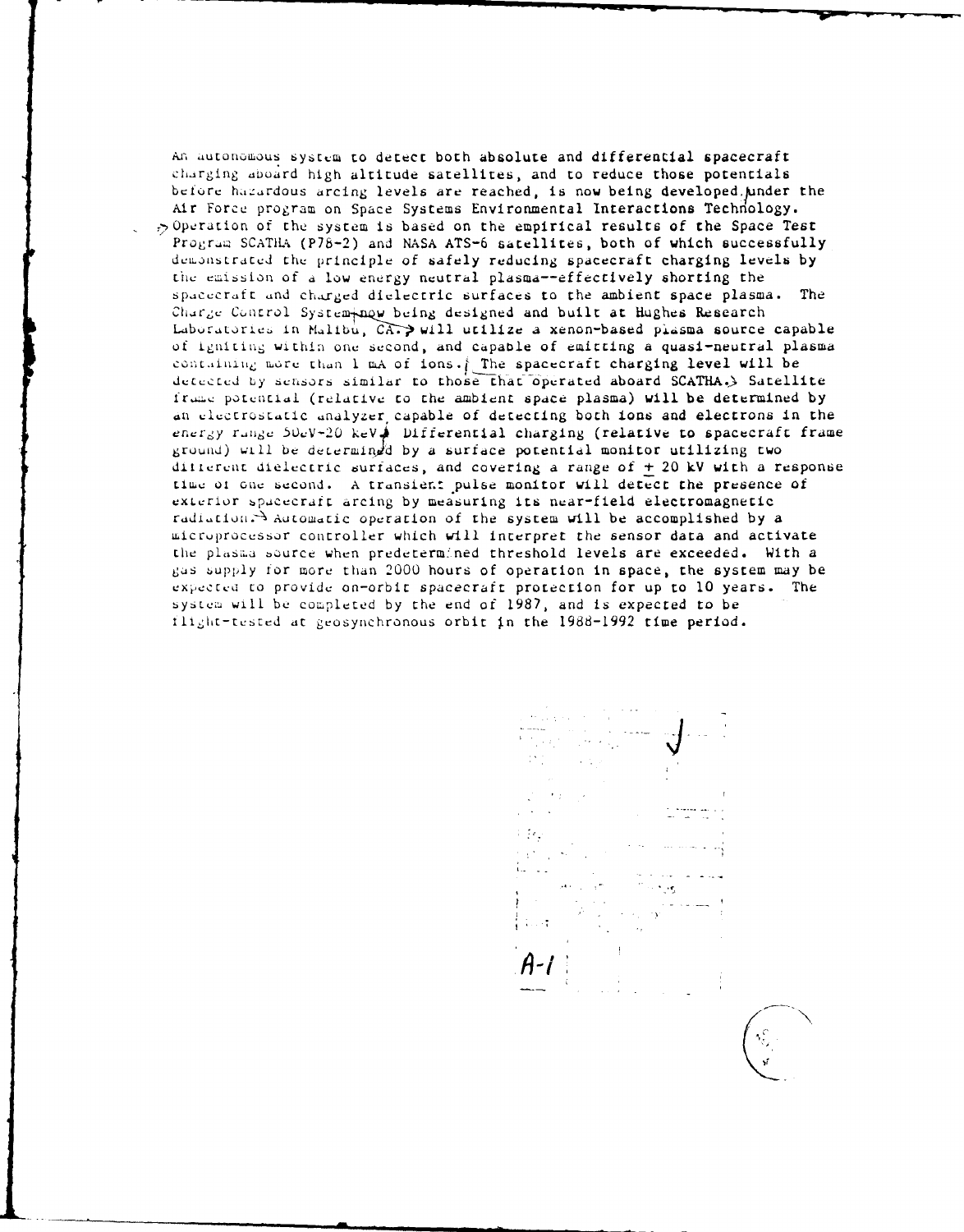An autonomous system to detect both absolute and differential spacecraft charging aboard high altitude satellites, and to reduce those potentials before hazardous arcing levels are reached, is now being developed. under the Air Force program on Space Systems Environmental Interactions Technology. by Operation of the system is based on the empirical results of the Space Test Program SCATHA (P78-2) and NASA ATS-6 satellites, both of which successfully demonstrated the principle of safely reducing spacecraft charging levels by the emission of a low energy neutral plasma--effectively shorting the spacecraft and charged dielectric surfaces to the ambient space plasma. **The** Charge Control System now being designed and built at Hughes Research Laboratories in Malibu, CA.> will utilize a xenon-based plasma source capable of igniting within one second, and capable of emitting a quasi-neutral plasma containing more than 1 mA of ions. The spacecraft charging level will be detected by sensors similar to those that operated aboard SCATHA.) Satellite frame potential (relative to the ambient space plasma) will be determined by an electrostatic analyzer capable of detecting both ions and electrons in the energy range 50eV-20 keV. Differential charging (relative to spacecraft frame ground) will be determined by a surface potential monitor utilizing two different dielectric surfaces, and covering a range of  $\pm$  20 kV with a response time of one second. A transient pulse monitor will detect the presence of exterior spacecraft arcing by measuring its near-field electromagnetic radiation.<sup>3</sup> Automatic operation of the system will be accomplished by a microprocessor controller which will interpret the sensor data and activate the plasma source when predetermined threshold levels are exceeded. With a gas supply for more than 2000 hours of operation in space, the system may be expected to provide on-orbit spacecraft protection for up to 10 years. The system will be completed by the end of 1987, and is expected to be flight-tested at geosynchronous orbit in the 1988-1992 time period.

 $\begin{array}{l} \mathbf{F} = \mathbf{F} \mathbf{F} \left( \mathbf{F} \right) \left( \mathbf{F} \right) \left( \mathbf{F} \right) \left( \mathbf{F} \right) \left( \mathbf{F} \right) \mathbf{F} \left( \mathbf{F} \right) \mathbf{F} \left( \mathbf{F} \right) \mathbf{F} \left( \mathbf{F} \right) \mathbf{F} \left( \mathbf{F} \right) \mathbf{F} \left( \mathbf{F} \right) \mathbf{F} \left( \mathbf{F} \right) \mathbf{F} \left( \mathbf{F} \right) \mathbf{F} \left$ A.  $\mathcal{O}(\varepsilon)$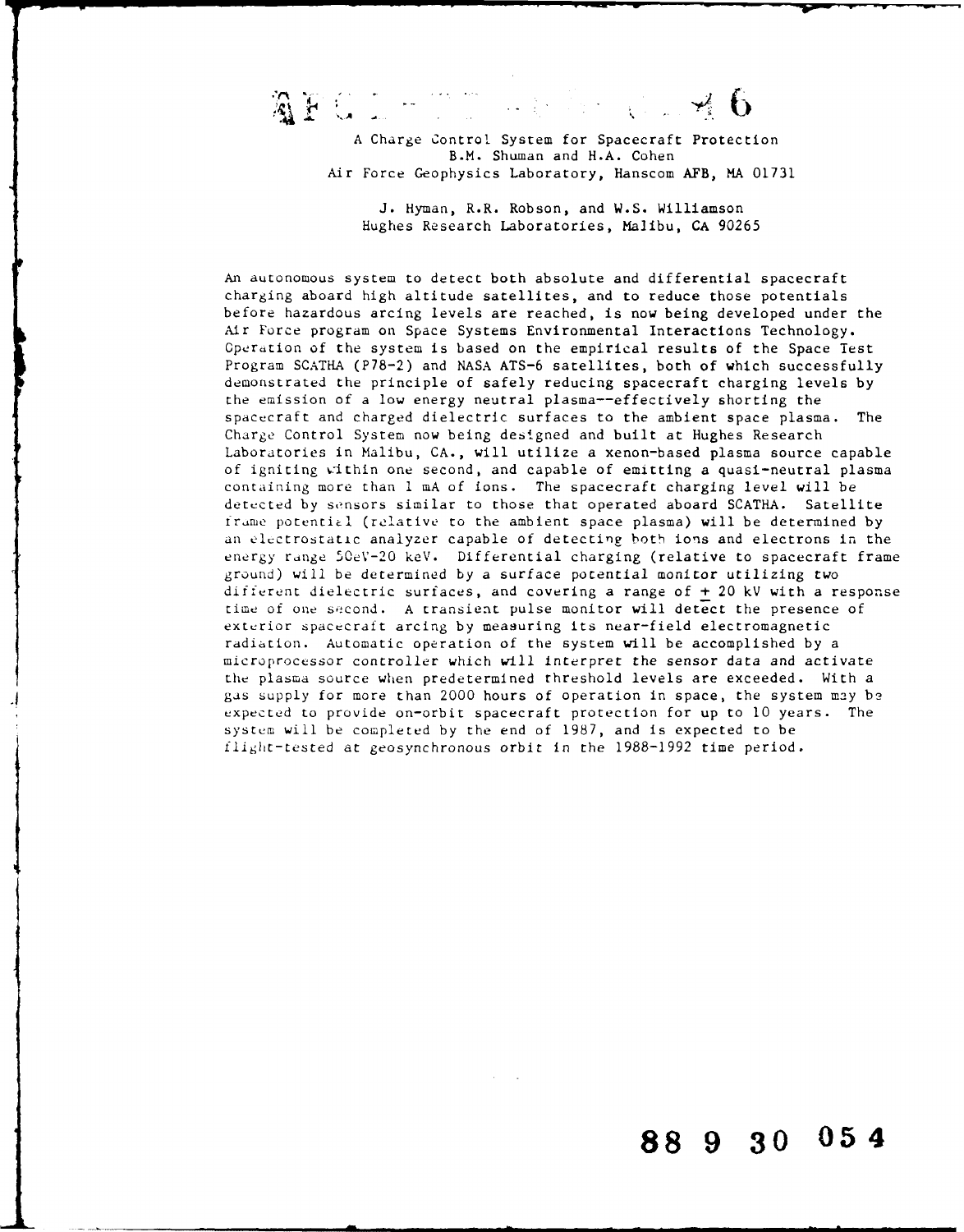$\sim$   $\sim$   $\sim$   $\sim$  6 渝王

A Charge Control System for Spacecraft Protection B.M. Shuman and H.A. Cohen Air Force Geophysics Laboratory, Hanscom AFB, MA 01731

J. Hyman, R.R. Robson, and W.S. Williamson Hughes Research Laboratories, Malibu, CA 90265

An autonomous system to detect both absolute and differential spacecraft charging aboard high altitude satellites, and to reduce those potentials before hazardous arcing levels are reached, is now being developed under the Air Force program on Space Systems Environmental Interactions Technology. Operation of the system is based on the empirical results of the Space Test Program SCATHA (P78-2) and NASA ATS-6 satellites, both of which successfully demonstrated the principle of safely reducing spacecraft charging levels by the emission of a low energy neutral plasma--effectively shorting the spacecraft and charged dielectric surfaces to the ambient space plasma. The Charge Control System now being designed and built at Hughes Research Laboratories in Malibu, CA., will utilize a xenon-based plasma source capable of igniting within one second, and capable of emitting a quasi-neutral plasma containing more than **I** mA of ions. The spacecraft charging level will be detected by sensors similar to those that operated aboard SCATHA. Satellite frame potential (relative to the ambient space plasma) will be determined by an electrostatic analyzer capable of detecting both ions and electrons in the energy range SOeV-20 keV. Differential charging (relative to spacecraft frame ground) will be determined by a surface potential monitor utilizing two different dielectric surfaces, and covering a range of + 20 kV with a response time of one second. A transient pulse monitor will detect the presence of exterior spacecraft arcing by measuring its near-field electromagnetic radiation. Automatic operation of the system will be accomplished by a microprocessor controller which will interpret the sensor data and activate the plasma source when predetermined threshold levels are exceeded. With a gas supply for more than 2000 hours of operation in space, the system may be expected to provide on-orbit spacecraft protection for up to **10** years. The system will be completed by the end of 1987, and is expected to be flight-tested at geosynchronous orbit in the 1988-1992 time period.

## **88 9 30 054**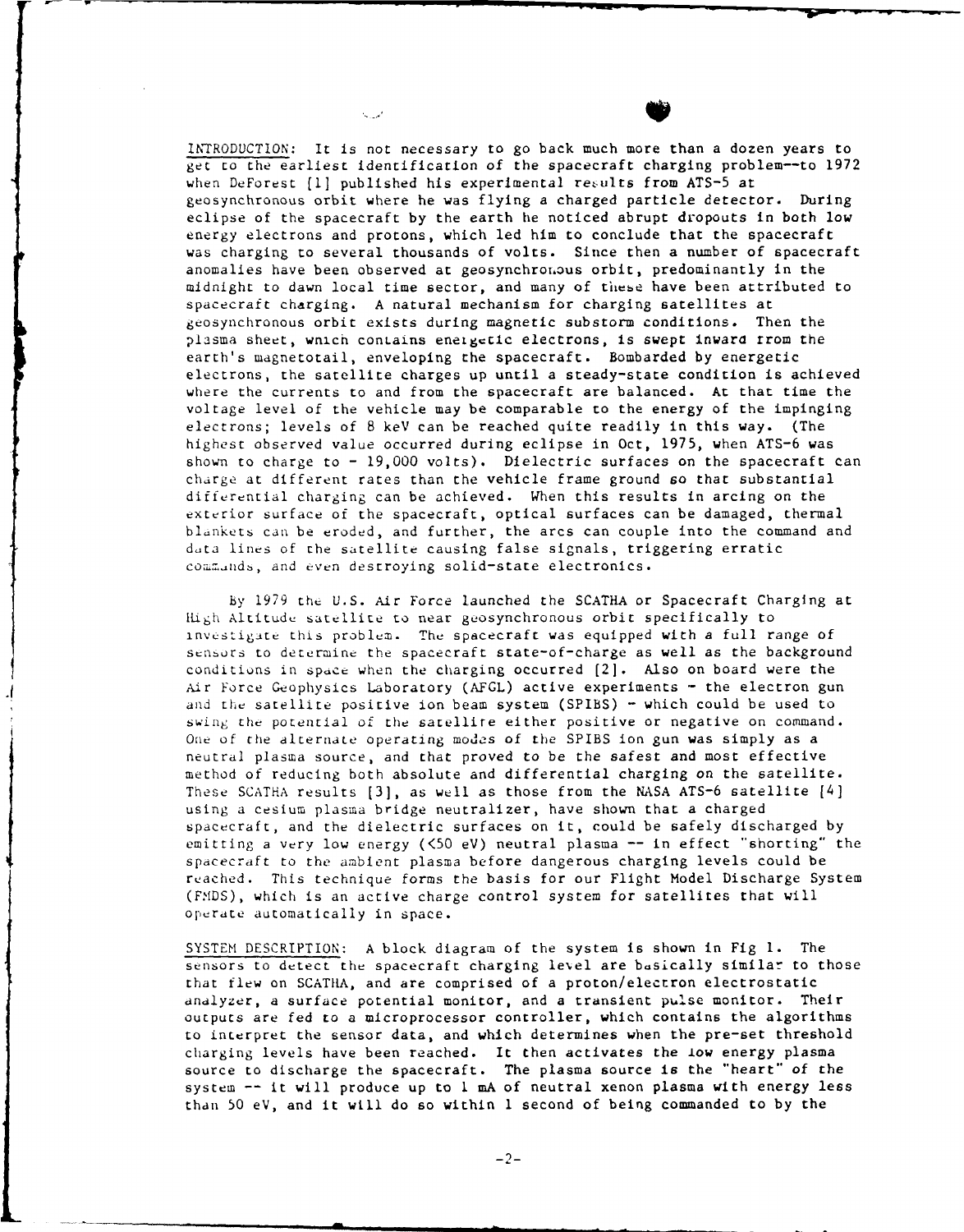INTRODUCTION: It is not necessary to go back much more than a dozen years to get to the earliest identification of the spacecraft charging problem--to 1972 when DeForest [1] published his experimental results from ATS-5 at geosynchronous orbit where he was flying a charged particle detector. During eclipse of the spacecraft by the earth he noticed abrupt dropouts in both low energy electrons and protons, which led him to conclude that the spacecraft was charging to several thousands of volts. Since then a number of spacecraft anomalies have been observed at geosynchronous orbit, predominantly in the midnight to dawn local time sector, and many of these have been attributed to spacecraft charging. A natural mechanism for charging satellites at geosynchronous orbit exists during magnetic substorm conditions. Then the plasma sheet, wnich contains enetgctic electrons, is swept inward rrom the earth's magnetotail, enveloping the spacecraft. Bombarded by energetic electrons, the satellite charges up until a steady-state condition is achieved where the currents to and from the spacecraft are balanced. At that time the voltage level of the vehicle may be comparable to the energy of the impinging electrons; levels of 8 keV can be reached quite readily in this way. (The highest observed value occurred during eclipse in Oct, 1975, when ATS-6 was shown to charge to - 19,000 volts). Dielectric surfaces on the spacecraft can charge at different rates than the vehicle frame ground so that substantial differential charging can be achieved. When this results in arcing on the exterior surface of the spacecraft, optical surfaces can be damaged, thermal blankets can be eroded, and further, the arcs can couple into the command and data lines of the satellite causing false signals, triggering erratic communds, and even destroying solid-state electronics.

**by** 1979 th. U.S. Air Force launched the SCATHA or Spacecraft Charging at HIgh Altitude satellite to near geosynchronous orbit specifically to investigate this problem. The spacecraft was equipped with a full range of sensors to determine the spacecraft state-of-charge as well as the background conditions in space when the charging occurred [2]. Also on board were the Air Force Geophysics Laboratory (AFGL) active experiments - the electron gun and the satellite positive ion beam system (SPIBS)  $-$  which could be used to swing the potential of the satellire either positive or negative on command. One of the alternate operating modes of the SPIBS ion gun was simply as a neutral plasma source, and that proved to be the safest and most effective method of reducing both absolute and differential charging on the satellite. These SCATHA results  $[3]$ , as well as those from the NASA ATS-6 satellite  $[4]$ using a cesium plasma bridge neutralizer, have shown that a charged spacecraft, and the dielectric surfaces on it, could be safely discharged by emitting a very low energy  $(50 eV)$  neutral plasma  $-$  in effect "shorting" the spacecraft to the ambient plasma before dangerous charging levels could be reached. This technique forms the basis for our Flight Model Discharge System (FMDS), which is an active charge control system for satellites that will opcrate automatically in space.

SYSTEM DESCRIPTION: A block diagram of the system is shown in Fig **1.** The sensors to detect the spacecraft charging level are basically similar to those that flew on SCATHA, and are comprised of a proton/electron electrostatic analyzer, a surface potential monitor, and a transient pulse monitor. Their outputs are fed to a microprocessor controller, which contains the algorithms to interpret the sensor data, and which determines when the pre-set threshold charging levels have been reached. It then activates the iow energy plasma source to discharge the spacecraft. The plasma source is the "heart" of the system -- it will produce up to 1 mA of neutral xenon plasma with energy less than 50 eV, and it will do so within 1 second of being commanded to by the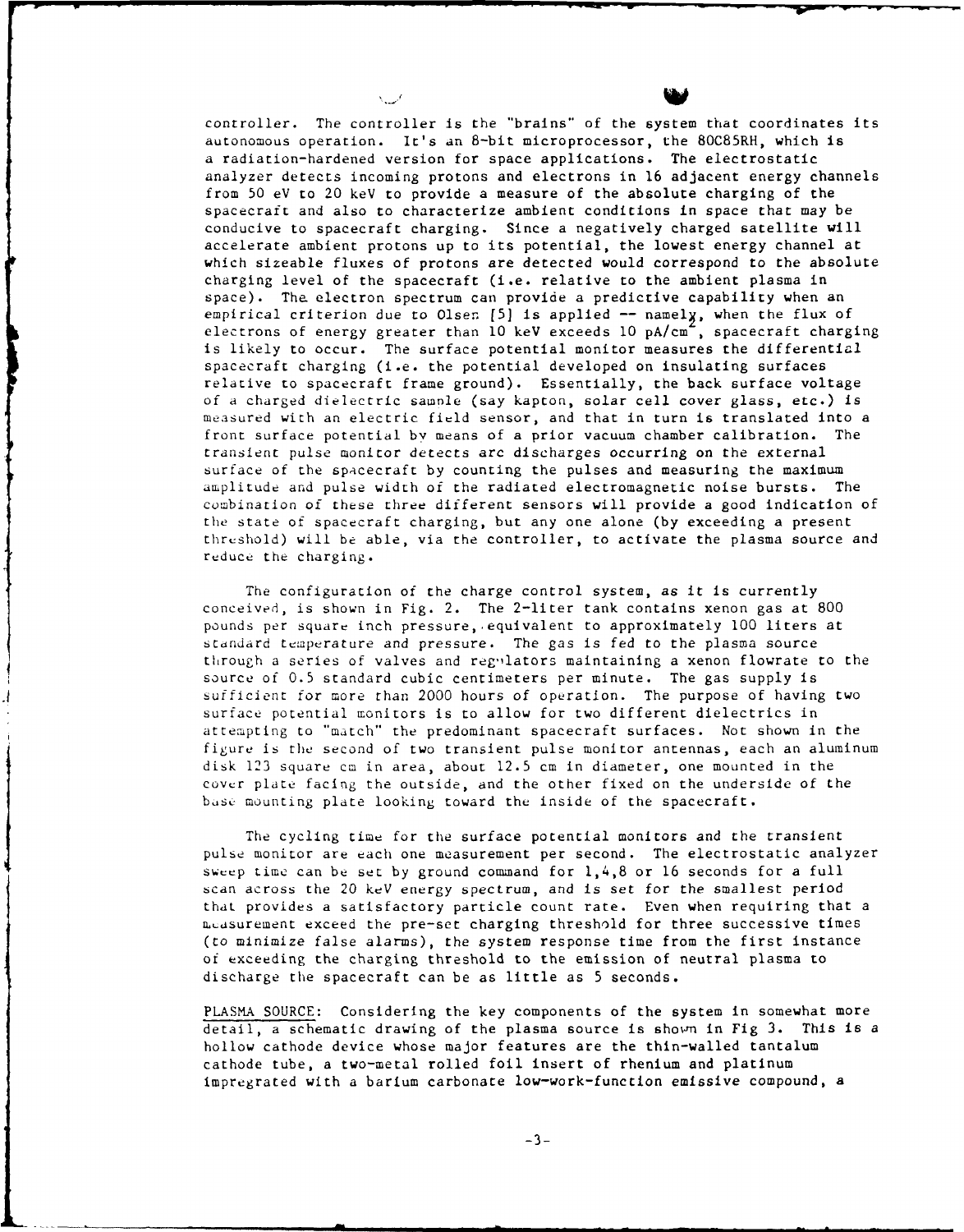controller. The controller is the "brains" of the system that coordinates its autonomous operation. It's an 8-bit microprocessor, the 80C85RH, which is a radiation-hardened version for space applications. The electrostatic analyzer detects incoming protons and electrons in 16 adjacent energy channels from 50 eV to 20 keV to provide a measure of the absolute charging of the spacecraft and also to characterize ambient conditions in space that may be conducive to spacecraft charging. Since a negatively charged satellite will accelerate ambient protons up to its potential, the lowest energy channel at which sizeable fluxes of protons are detected would correspond to the absolute charging level of the spacecraft (i.e. relative to the ambient plasma in space). The electron spectrum can provide a predictive capability when an empirical criterion due to Olsen [5] is applied -- namely, when the flux of electrons of energy greater than **10** keV exceeds **10** pA/cm , spacecraft charging is likely to occur. The surface potential monitor measures the differential spacecraft charging (i.e. the potential developed on insulating surfaces relative to spacecraft frame ground). Essentially, the back surface voltage of a charged dielectric samnle (say kapton, solar cell cover glass, etc.) is measured with an electric field sensor, and that in turn is translated into a front surface potential bv means of a prior vacuum chamber calibration. The transient pulse monitor detects arc discharges occurring on the external surface of the spacecraft by counting the pulses and measuring the maximum amplitude and pulse width of the radiated electromagnetic noise bursts. The combination of these three different sensors will provide a good indication of the state of spacecraft charging, but any one alone (by exceeding a present threshold) will be able, via the controller, to activate the plasma source and reduce the charging.

The configuration of the charge control system, as it is currently conceived, is shown in Fig. 2. The 2-liter tank contains xenon gas at 800 pounds per square inch pressure,.equivalent to approximately **100** liters at standard temperature and pressure. The gas is fed to the plasma source through a series of valves and regulators maintaining a xenon flowrate to the source of 0.5 standard cubic centimeters per minute. The gas supply is sufficient for more than 2000 hours of operation. The purpose of having two surface potential monitors is to allow for two different dielectrics in atteapting to "match" the predominant spacecraft surfaces. Not shown in the figure is the second of two transient pulse monitor antennas, each an aluminum disk 123 square cm in area, about 12.5 cm in diameter, one mounted in the cover plate facing the outside, and the other fixed on the underside of the base mounting plate looking toward the inside of the spacecraft.

The cycling time for the surface potential monitors and the transient pulse monitor are each one measurement per second. The electrostatic analyzer sweep time can be set by ground command for  $1,4,8$  or 16 seconds for a full scan across the 20 keV energy spectrum, and is set for the smallest period that provides a satisfactory particle count rate. Even when requiring that a mIasurement exceed the pre-set charging threshold for three successive times (to minimize false alarms), the system response time from the first instance of exceeding the charging threshold to the emission of neutral plasma to discharge the spacecraft can be as little as 5 seconds.

PLASMA SOURCE: Considering the key components of the system in somewhat more detail, a schematic drawing of the plasma source is shown in Fig 3. This is a hollow cathode device whose major features are the thin-walled tantalum cathode tube, a two-metal rolled foil insert of rhenium and platinum impregrated with a barium carbonate low-work-function emissive compound, a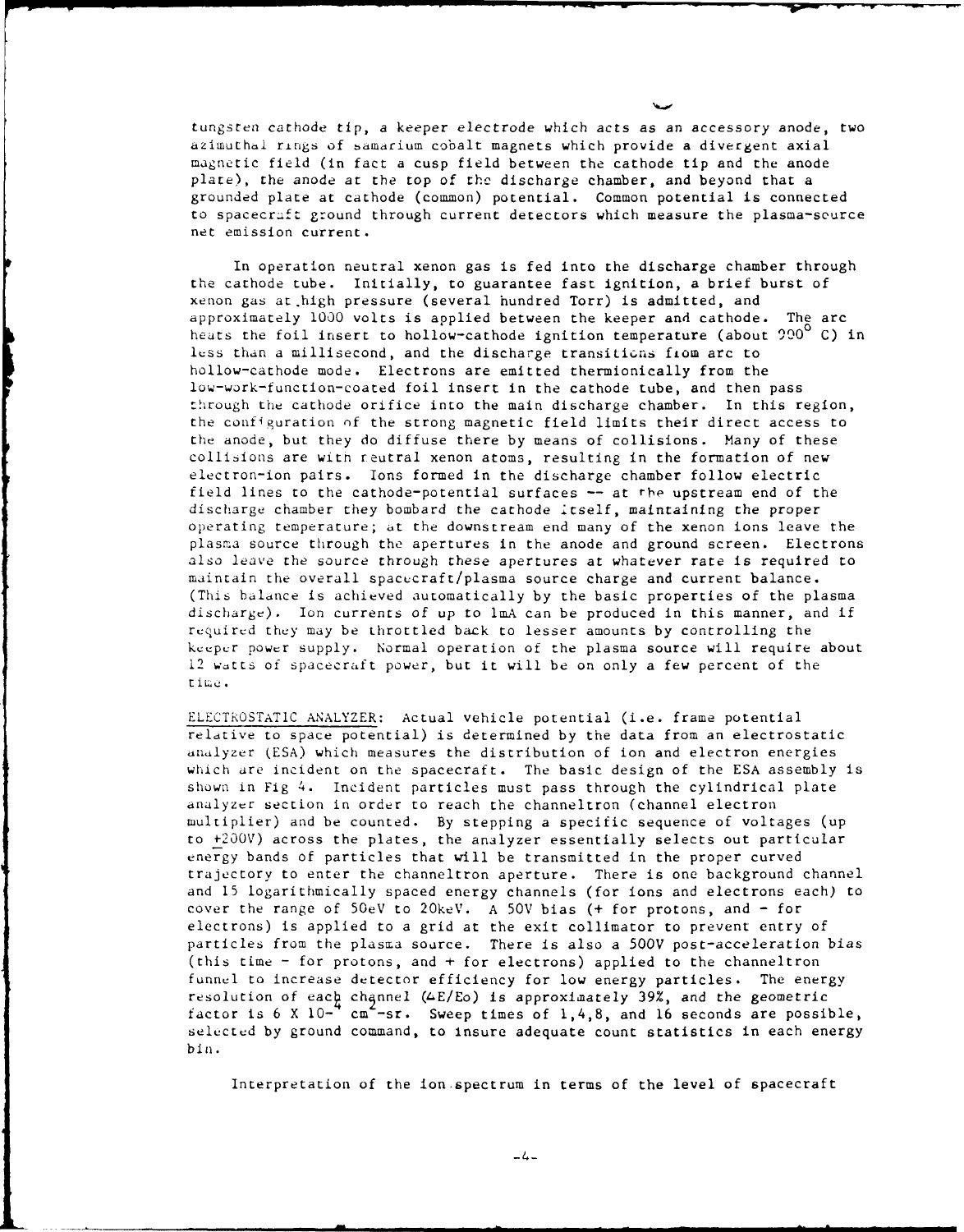tungsten cathode tip, a keeper electrode which acts as an accessory anode, two azimuthal rings of samarium cobalt magnets which provide a divergent axial magnetic field (in fact a cusp field between the cathode tip and the anode plate), the anode at the top of the discharge chamber, and beyond that a grounded plate at cathode (common) potential. Common potential is connected to spacecraft ground through current detectors which measure the plasma-source net emission current.

In operation neutral xenon gas is fed into the discharge chamber through the cathode tube. Initially, to guarantee fast ignition, a brief burst of xenon gas at.high pressure (several hundred Torr) is admitted, and approximately 1000 volts is applied between the keeper and cathode. The arc heats the foil insert to hollow-cathode ignition temperature (about 900<sup>°</sup>C) in less than a millisecond, and the discharge transitions from arc to hollow-cathode mode. Electrons are emitted thermionically from the low-work-function-coated foil insert in the cathode tube, and then pass through the cathode orifice into the main discharge chamber. In this region, the configuration **of** the strong magnetic field limits their direct access to the anode, but they do diffuse there by means of collisions. Many of these collisions are with reutral xenon atoms, resulting in the formation of new electron-ion pairs. Ions formed in the discharge chamber follow electric field lines to the cathode-potential surfaces -- at the upstream end of the discharge chamber they bombard the cathode itself, maintaining the proper operating temperature; at the downstream end many of the xenon ions leave the plasma source through the apertures in the anode and ground screen. Electrons also leave the source through these apertures at whatever rate is required to maintain the overall spacecraft/plasma source charge and current balance. (This balance is achieved automatically by the basic properties of the plasma discharge). Ion currents of up to lmA can be produced in this manner, and if required they may be throttled back to lesser amounts by controlling the keeper power supply. Normal operation of the plasma source will require about 12 watts of spacecraft power, but it will be on only a few percent of the time.

**THEFT** 

ELECTROSTATIC ANALYZER: Actual vehicle potential (i.e. frame potential relative to space potential) is determined by the data from an electrostatic eanlyzer (ESA) which measures the distribution of ion and electron energies which are incident on the spacecraft. The basic design of the ESA assembly is shown in Fig 4. Incident particles must pass through the cylindrical plate analyzer section in order to reach the channeltron (channel electron multiplier) and be counted. By stepping a specific sequence of voltages (up to \*200V) across the plates, the analyzer essentially selects out particular energy bands of particles that will be transmitted in the proper curved trajectory to enter the channeltron aperture. There is one background channel and 15 logarithmically spaced energy channels (for ions and electrons each) to cover the range of 50eV to 20keV. A **50V** bias **(+** for protons, and - for electrons) is applied to a grid at the exit collimator to prevent entry of particles from the plasma source. There is also a 500V post-acceleration bias (this time - for protons, and **+** for electrons) applied to the channeltron funnel to increase detector efficiency for low energy particles. The energy resolution of each channel ( $\triangle E/Eo$ ) is approximately 39%, and the geometric factor is 6 X **10-** cm -sr. Sweep times of 1,4,8, and 16 seconds are possible, selected by ground command, to insure adequate count statistics in each energy bin.

Interpretation of the ion-spectrum in terms of the level of spacecraft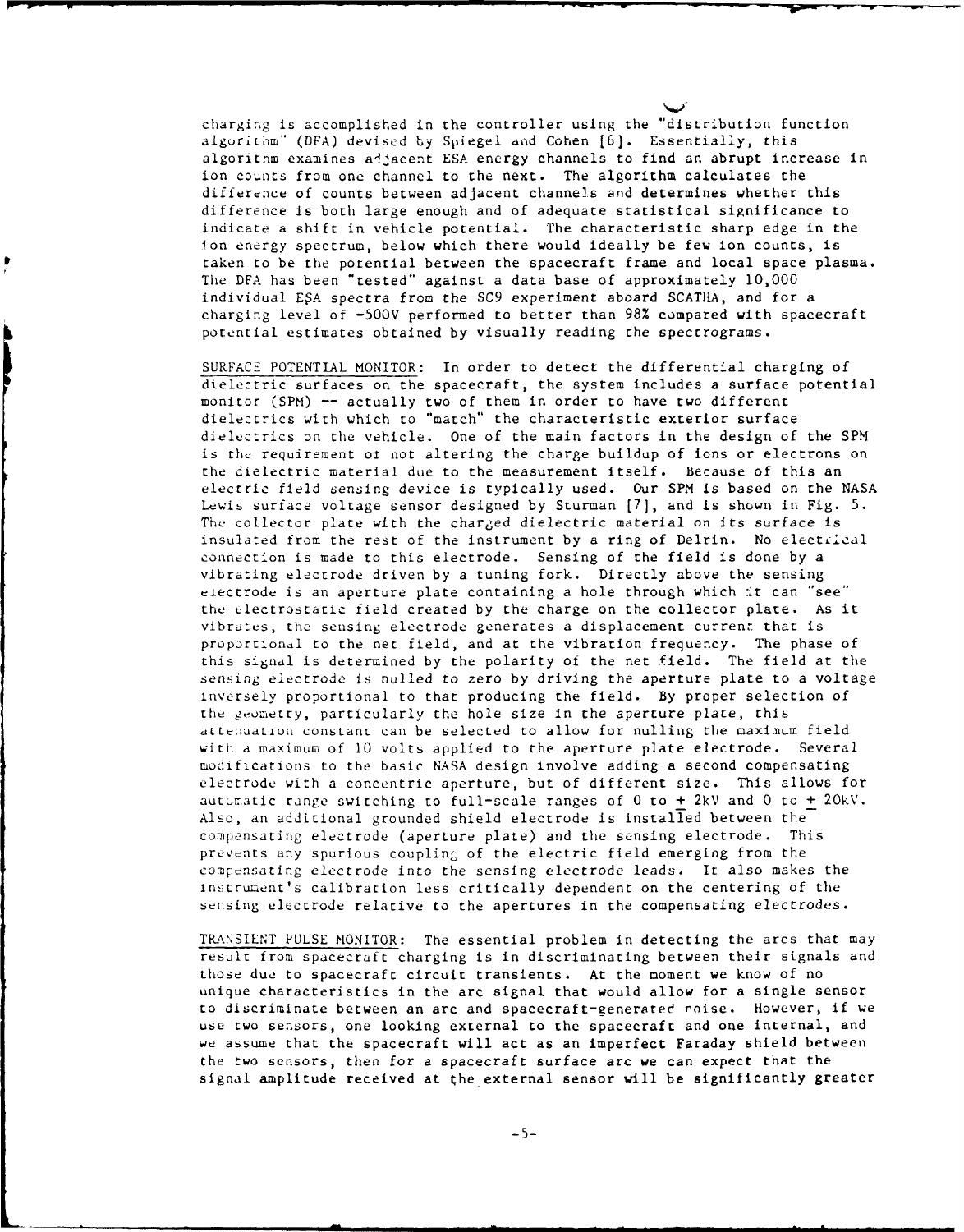charging is accomplished in the controller using the "distribution function aiguriLhm" (DFA) devised **by** Spiegel ad Cohen **[6].** Essentially, this algorithm examines adjacent ESA energy channels to find an abrupt increase in ion counts from one channel to the next. The algorithm calculates the difference of counts between adjacent channels and determines whether this difference is both large enough and of adequate statistical significance to indicate a shift in vehicle potential. The characteristic sharp edge in the ion energy spectrum, below which there would ideally be few ion counts, is taken to be the potential between the spacecraft frame and local space plasma. The DFA has been "tested" against a data base of approximately 10,000 individual ESA spectra from the SC9 experiment aboard SCATHA, and for a charging level of -500V performed to better than 98% compared with spacecraft potential estimates obtained by visually reading the spectrograms.

SURFACE POTENTIAL MONITOR: In order to detect the differential charging of dielectric surfaces on the spacecraft, the system includes a surface potential monitor (SPM) -- actually two of them in order to have two different dielectrics with which to "match" the characteristic exterior surface dielectrics on the vehicle. One of the main factors in the design of the SPM is the requirement ot not altering the charge buildup of ions or electrons on the dielectric material due to the measurement itself. Because of this an electric field sensing device is typically used. Our SPM is based on the NASA Lewis surface voltage sensor designed by Sturman [7], and is shown in Fig. 5. The collector plate with the charged dielectric material on its surface is insulated from the rest of the instrument by a ring of Delrin. No electrical connection is made to this electrode. Sensing of the field is done by a vibrating electrode driven by a tuning fork. Directly above the sensing electrode is an aperture plate containing a hole through which it can "see" the electrostatic field created by the charge on the collector plate. As it vibrates, the sensing electrode generates a displacement current that is proportiondl to the net field, and at the vibration frequency. The phase of this signal is determined by the polarity of the net field. The field at the sensing electrode is nulled to zero by driving the aperture plate to a voltage inversely proportional to that producing the field. By proper selection of the geometry, particularly the hole size in the aperture plate, this attenuation constant can be selected to allow for nulling the maximum field with a maximum of **10** volts applied to the aperture plate electrode. Several modifications to the basic NASA design involve adding a second compensating electrode with a concentric aperture, but of different size. This allows for automatic range switching to full-scale ranges of 0 to + 2kV and 0 to + 20kV. Also, an additional grounded shield electrode is installed between thecompensating electrode (aperture plate) and the sensing electrode. This prevents any spurious coupling of the electric field emerging from the compensating electrode into the sensing electrode leads. It also makes the instrument's calibration less critically dependent on the centering of the sensing electrode relative to the apertures in the compensating electrodes.

TRANSIENT PULSE MONITOR: The essential problem in detecting the arcs that may result from spacecraft charging is in discriminating between their signals and those due to spacecraft circuit transients. At the moment we know of no unique characteristics in the arc signal that would allow for a single sensor to discriminate between an arc and spacecraft-eenerated noise. However, if we use two sensors, one looking external to the spacecraft and one internal, and we assume that the spacecraft will act as an imperfect Faraday shield between the two sensors, then for a spacecraft surface arc we can expect that the signal amplitude received at the external sensor will be significantly greater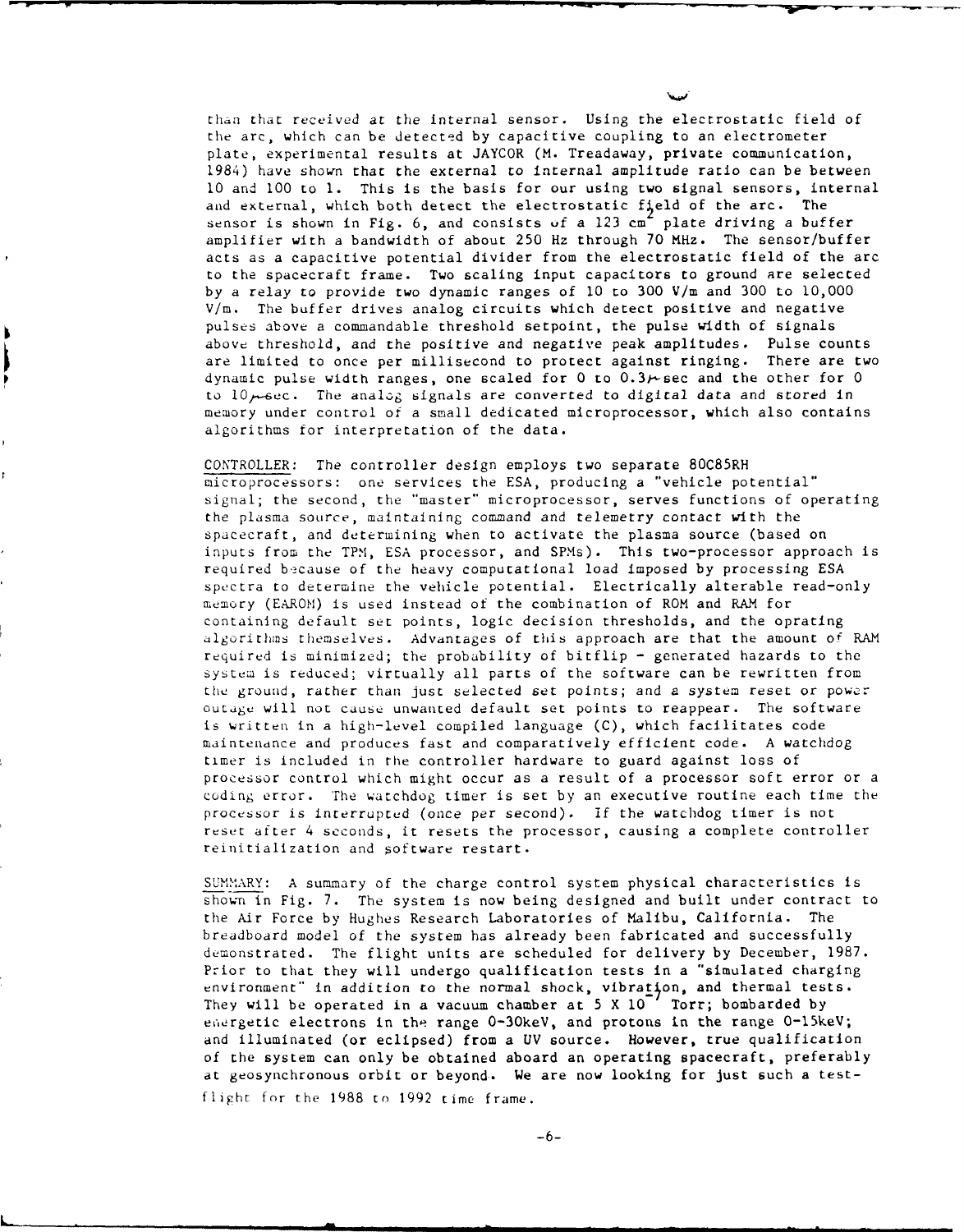than that received at the internal sensor. Using the electrostatic field of the arc, which can be detected by capacitive coupling to an electrometer plate, experimental results at JAYCOR (M. Treadaway, private communication, 1984) have shown that the external to internal amplitude ratio can be between **10** and **100** to **1.** This is the basis for our using two signal sensors, internal and external, which both detect the electrostatic field of the arc. The sensor is shown in Fig. 6, and consists of a 123  $cm<sup>2</sup>$  plate driving a buffer amplifier with a bandwidth of about 250 Hz through 70 MHz. The sensor/buffer acts as a capacitive potential divider from the electrostatic field of the arc to the spacecraft frame. Two scaling input capacitors to ground are selected by a relay to provide two dynamic ranges of **10** to 300 V/m and 300 to 10,000 V/m. The buffer drives analog circuits which detect positive and negative pulses above a commandable threshold setpoint, the pulse width of signals above threshold, and the positive and negative peak amplitudes. Pulse counts are limited to once per millisecond to protect against ringing. There are two dynamic pulse width ranges, one scaled for 0 to  $0.3\nu$  sec and the other for 0 to 10,-sec. The analog signals are converted to digital data and stored in memory under control of a small dedicated microprocessor, which also contains algorithms for interpretation of the data.

Þ

CONTROLLER: The controller design employs two separate 80C85RH microprocessors: one services the ESA, producing a "vehicle potential" signal; the second, the "master" microprocessor, serves functions of operating the plasma source, maintaining command and telemetry contact with the spacecraft, and determining when to activate the plasma source (based on inputs from the TPM, ESA processor, and SPMs). This two-processor approach is required because of the heavy computational load imposed by processing ESA spectra to determine the vehicle potential. Electrically alterable read-only memory (EAROM) is used instead of the combination of ROM and RAM for containing default set points, logic decision thresholds, and the oprating algorithms themselves. Advantages of this approach are that the amount of RAM required is minimized; the probability of bitflip - generated hazards to the system is reduced; virtually all parts of the software can be rewritten from the ground, rather than just selected set points; and a system reset or powcr outage will not cause unwanted default set points to reappear. The software is written in a high-level compiled language (C), which facilitates code maintenance and produces fast and comparatively efficient code. A watchdog timer is included in the controller hardware to guard against loss of processor control which might occur as a result of a processor soft error or a coding error. The watchdog timer is set by an executive routine each time the processor is interrupted (once per second). If the watchdog timer is not reset after 4 seconds, it resets the processor, causing a complete controller reinitialization and software restart.

SUMMARY: A summary of the charge control system physical characteristics is shown in Fig. 7. The system is now being designed and built under contract to the Air Force by Hughes Research Laboratories of Malibu, California. The breadboard model of the system has already been fabricated and successfully demonstrated. The flight units are scheduled for delivery by December, 1987. Prior to that they will undergo qualification tests in a "simulated charging environment" in addition to the normal shock, vibration, and thermal tests. They will be operated in a vacuum chamber at 5 X 10  $'$  Torr; bombarded by energetic electrons in the range  $0-30keV$ , and protons in the range  $0-15keV$ ; and illuminated (or eclipsed) from a UV source. However, true qualification of the system can only be obtained aboard an operating spacecraft, preferably at geosynchronous orbit or beyond. We are now looking for just such a testflight for the 1988 to 1992 time frame.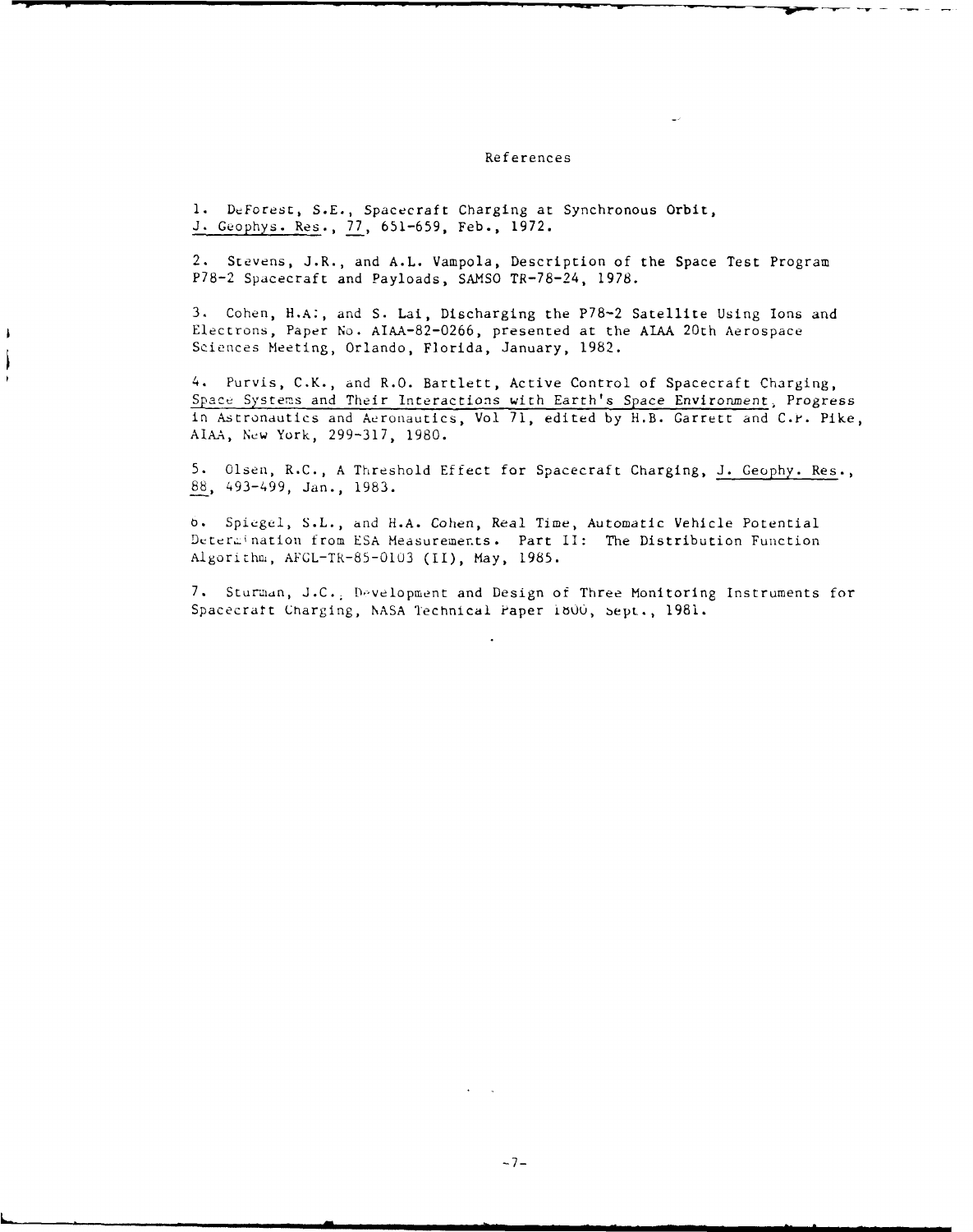### References

**1.** DeForest, S.E., Spacecraft Charging at Synchronous Orbit, J. Geophys. Res., 77, 651-659, Feb., 1972.

 $\pmb{\cdot}$ Í

2. Stevens, J.R., and A.L. Vampola, Description of the Space Test Program P78-2 Spacecraft and Payloads, SAMSO TR-78-24, 1978.

3. Cohen, H.A:, and S. Lai, Discharging the P78-2 Satellite Using Ions and Electrons, Paper No. AIAA-82-0266, presented at the AIAA 20th Aerospace Sciences Meeting, Orlando, Florida, January, 1982.

4. Purvis, C.K., and R.O. Bartlett, Active Control of Spacecraft Charging, Space Systems and Their Interactions with Earth's Space Environment, Progress in Astronautics and Aeronautics, Vol 71, edited by h.B. Garrett and C.Y. Pike, **AIAA,** New York, 299-317, 1980.

5. Olsen, R.C., A Threshold Effect for Spacecraft Charging, **J.** Ceophy. Res., **88,** 493-499, Jan., 1983.

**0.** Spiegel, S.L., and H.A. Cohen, Real Time, Automatic Vehicle Potential Determination from ESA Measurements. Part II: The Distribution Function Algorithm, AFGL-TR-85-0103 (II), May, 1985.

7. Sturman, J.C.<sub>:</sub> Development and Design of Three Monitoring Instruments for Spacecraft Charging, NASA Technical Paper 1800, Sept., 1981.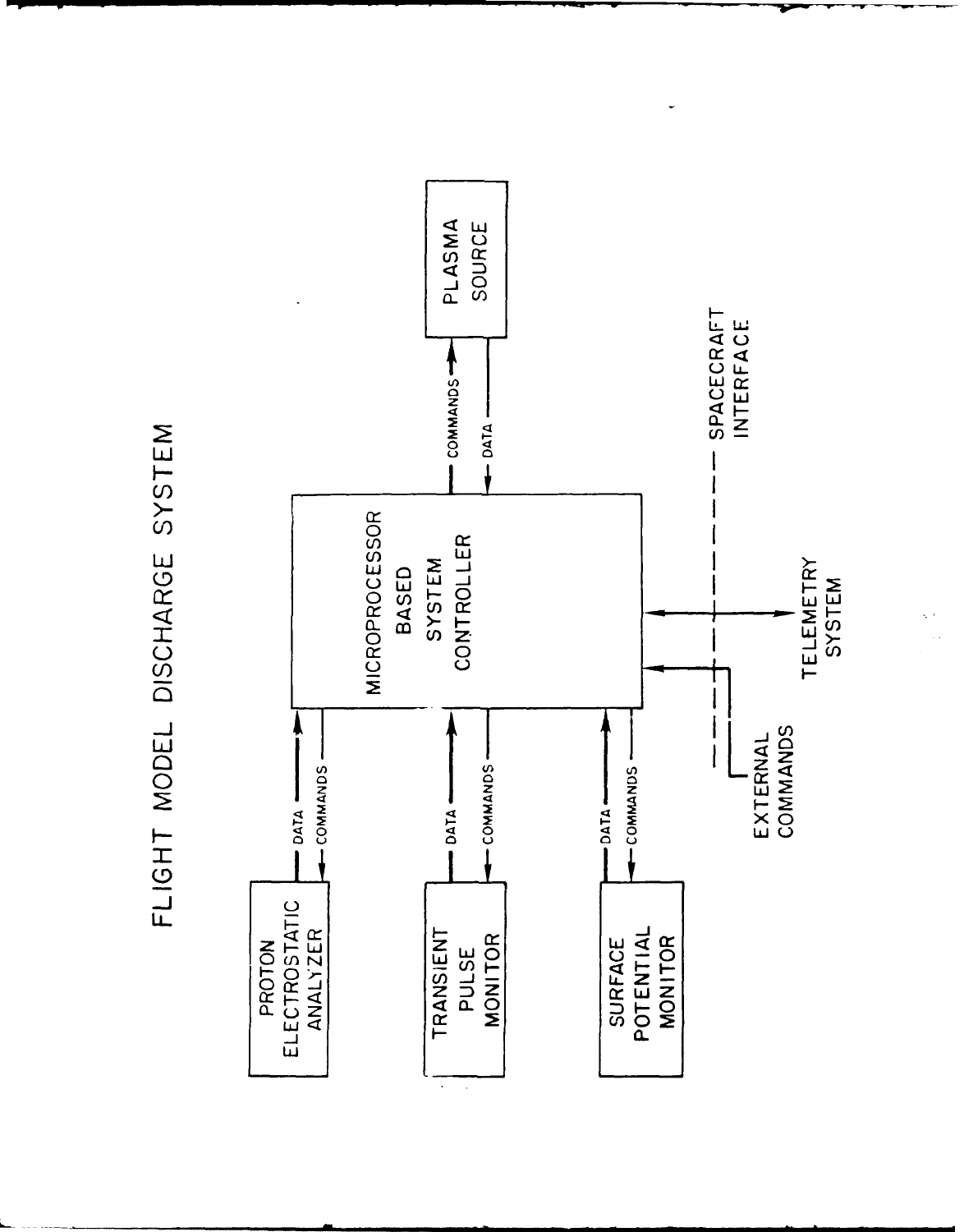## FLIGHT MODEL DISCHARGE SYSTEM

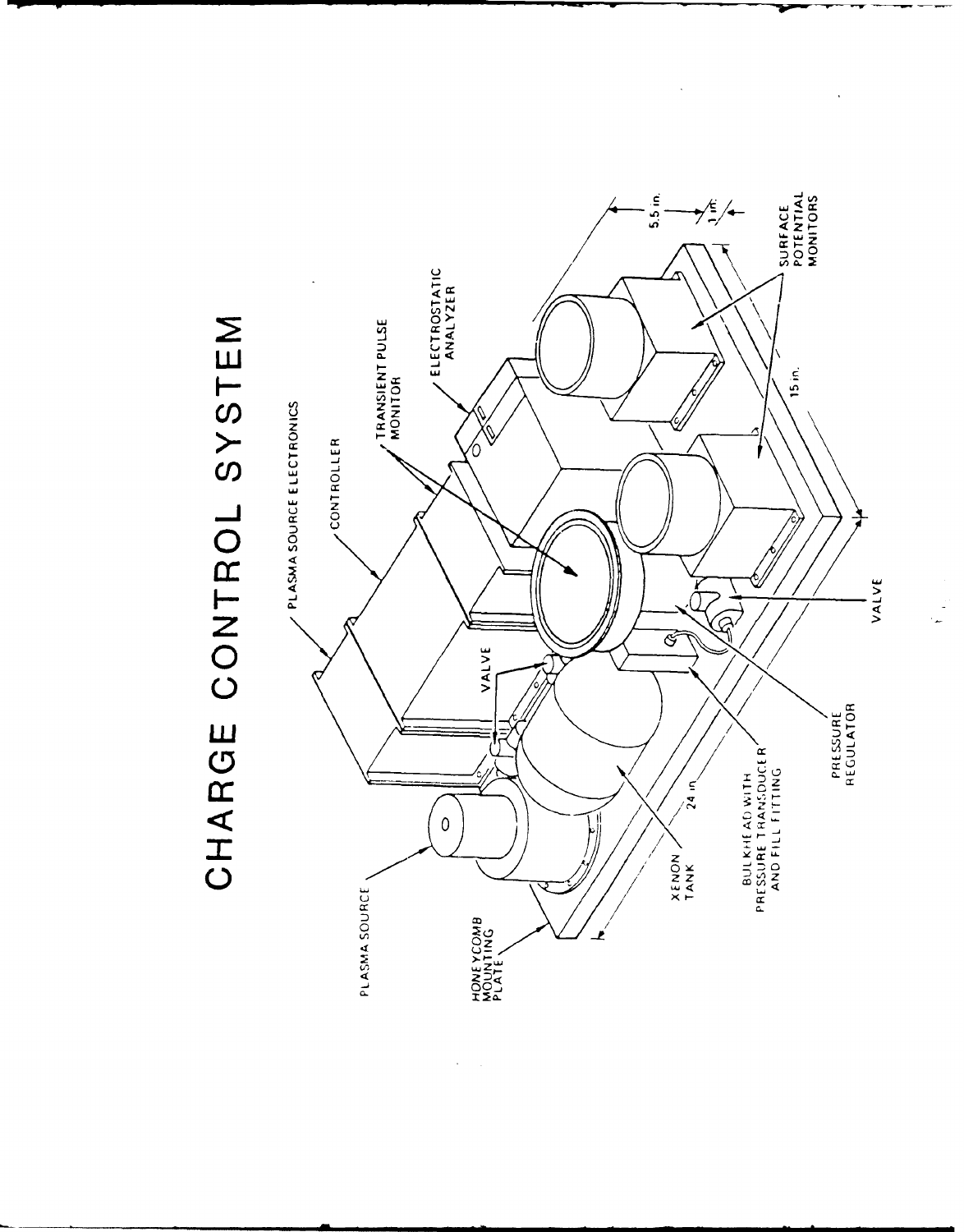# CHARGE CONTROL SYSTEM



 $\frac{1}{2}$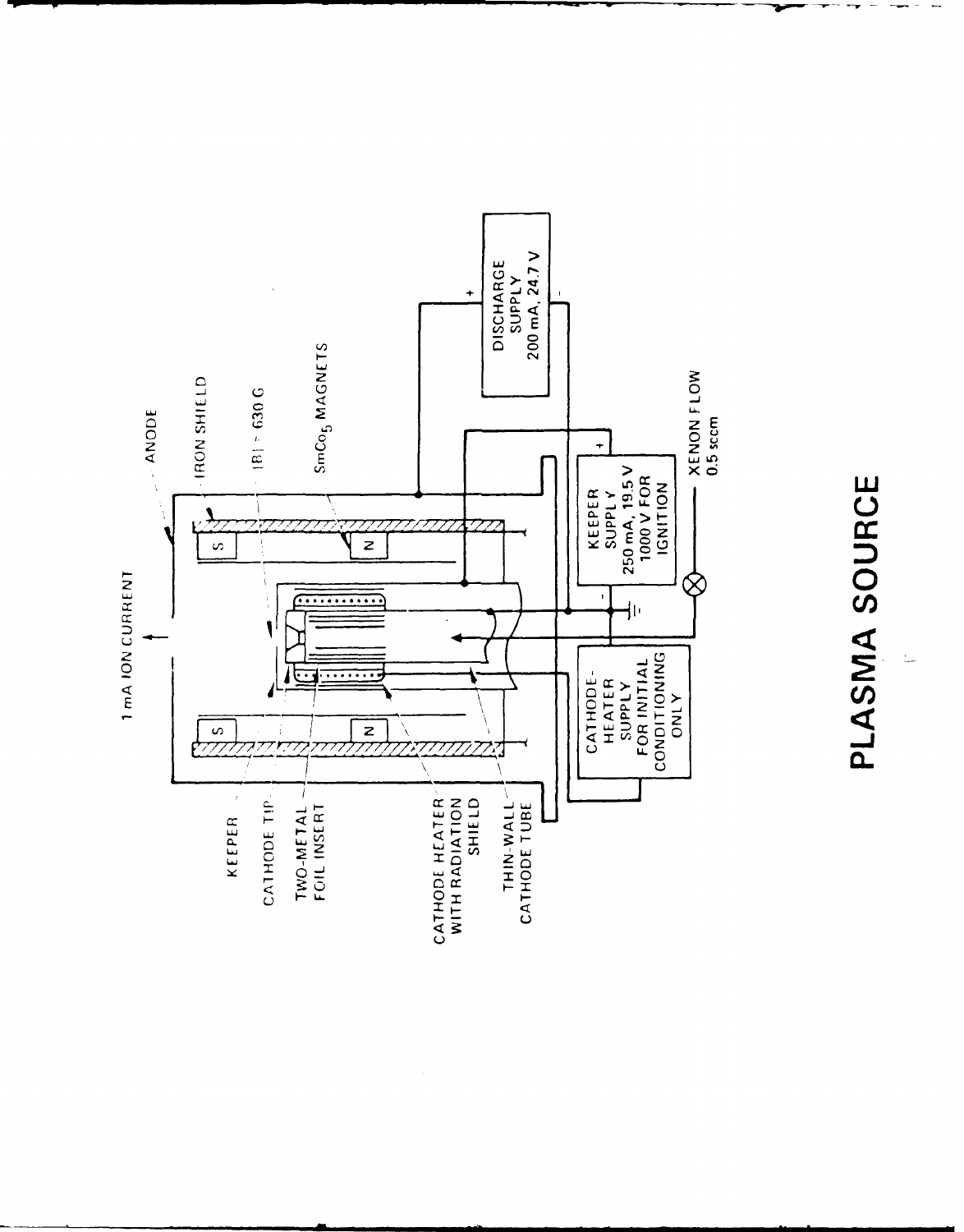

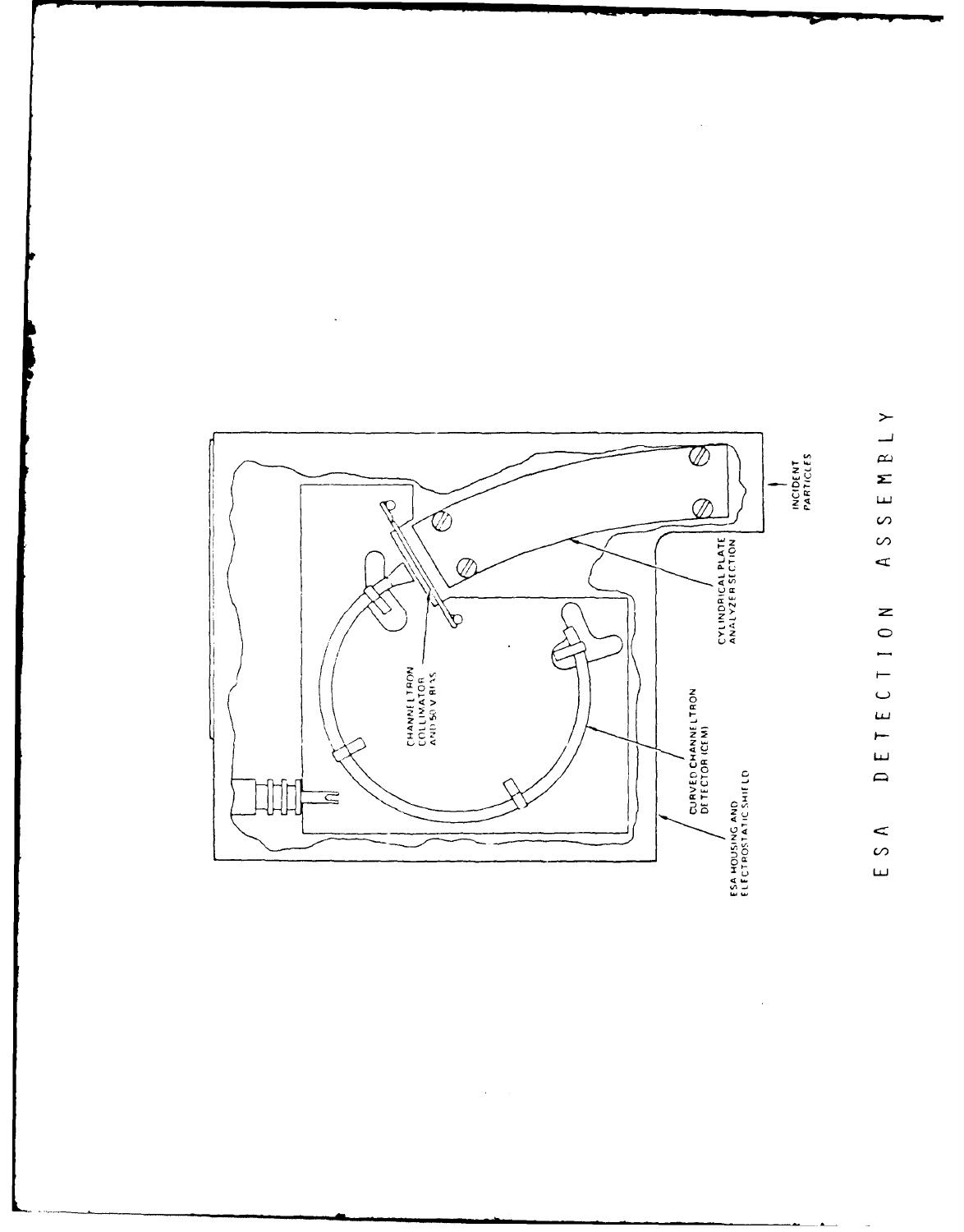

 $\ddot{\phantom{0}}$ 

 $\ddot{\phantom{0}}$ 

 $\left. \right.$  $\overline{\phantom{0}}$  $\tilde{\phantom{a}}$ Σ  $\overline{\mathbf{L}}$  $\circ$  $\circ$  $\mathbf{r}$  $\geq$  $\frac{1}{1}$  $\vdash$  $\cup$ Ш  $\vdash$  $\overline{D}$  E  $\lt$  $\circ$  $\bar{\Xi}$ 

 $\ddot{\phantom{0}}$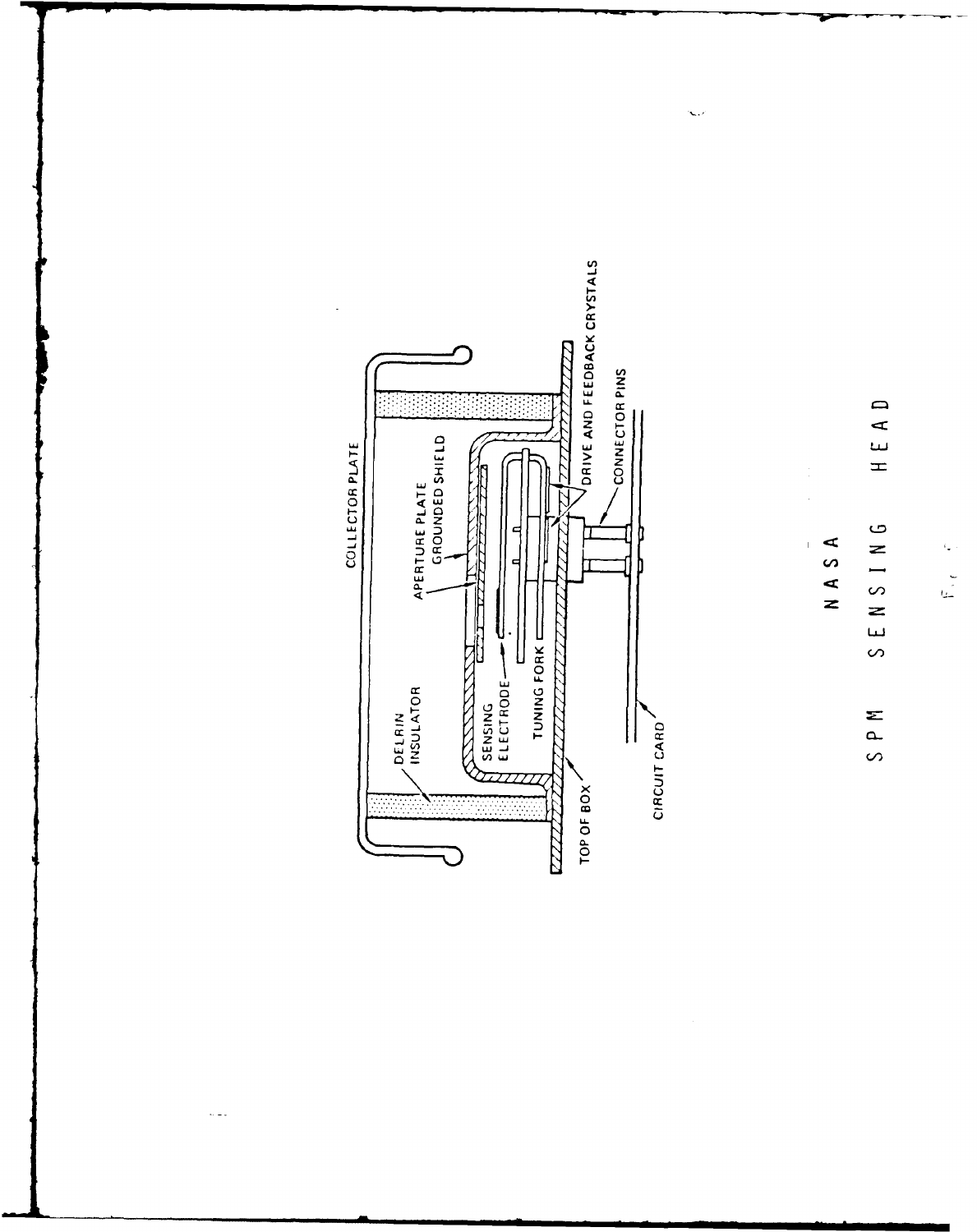

 $\ell_{\rm{max}}$ 

 $\frac{1}{\sqrt{2\pi}}$ 

## $\blacktriangleleft$  $\circ$  $\blacktriangleleft$ z

 $\zeta_{\rm{sc}}$ 

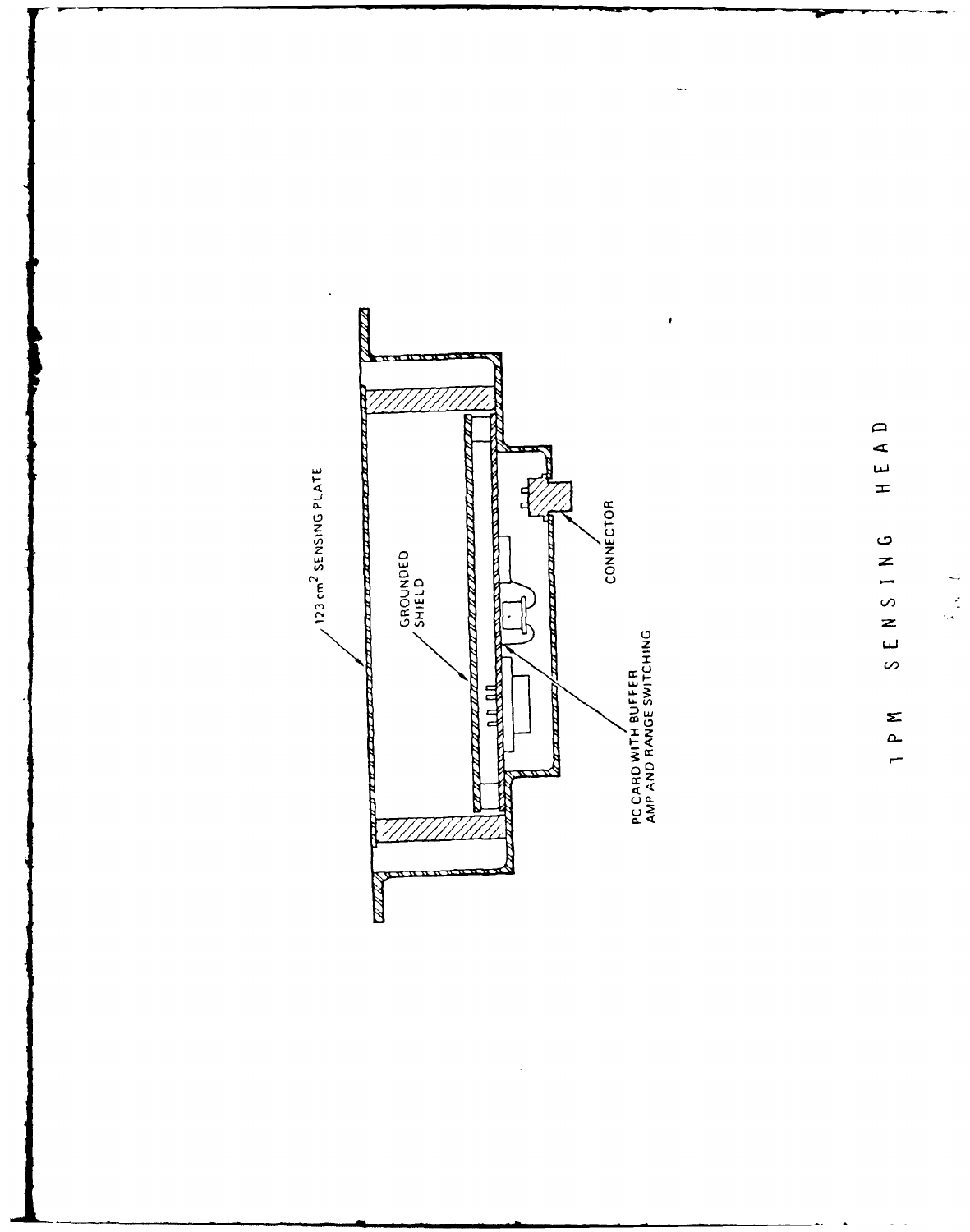